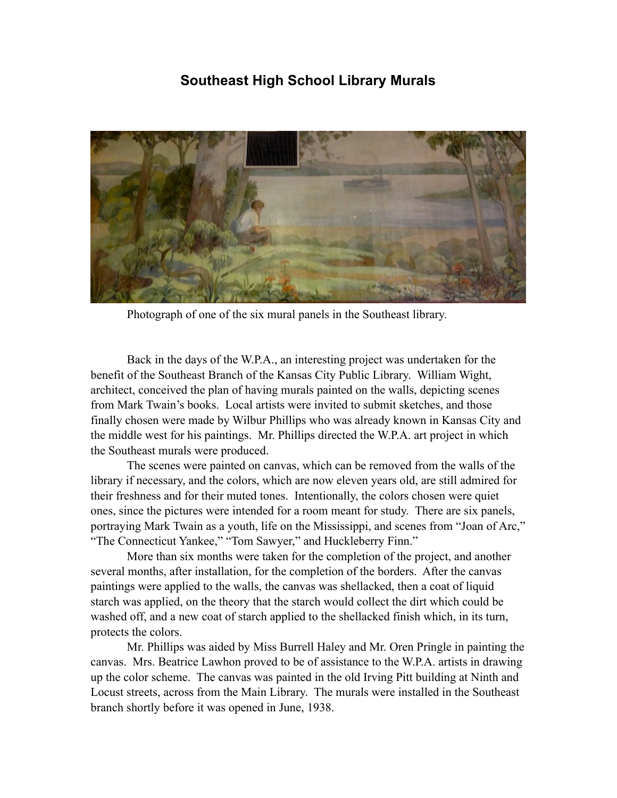## **Southeast High School Library Murals**



Photograph of one of the six mural panels in the Southeast library.

Back in the days of the W.P.A., an interesting project was undertaken for the benefit of the Southeast Branch of the Kansas City Public Library. William Wight, architect, conceived the plan of having murals painted on the walls, depicting scenes from Mark Twain's books. Local artists were invited to submit sketches, and those finally chosen were made by Wilbur Phillips who was already known in Kansas City and the middle west for his paintings. Mr. Phillips directed the W.P.A. art project in which the Southeast murals were produced.

The scenes were painted on canvas, which can be removed from the walls of the library if necessary, and the colors, which are now eleven years old, are still admired for their freshness and for their muted tones. Intentionally, the colors chosen were quiet ones, since the pictures were intended for a room meant for study. There are six panels, portraying Mark Twain as a youth, life on the Mississippi, and scenes from "Joan of Arc," "The Connecticut Yankee," "Tom Sawyer," and Huckleberry Finn."

More than six months were taken for the completion of the project, and another several months, after installation, for the completion of the borders. After the canvas paintings were applied to the walls, the canvas was shellacked, then a coat of liquid starch was applied, on the theory that the starch would collect the dirt which could be washed off, and a new coat of starch applied to the shellacked finish which, in its turn, protects the colors.

Mr. Phillips was aided by Miss Burrell Haley and Mr. Oren Pringle in painting the canvas. Mrs. Beatrice Lawhon proved to be of assistance to the W.P.A. artists in drawing up the color scheme. The canvas was painted in the old Irving Pitt building at Ninth and Locust streets, across from the Main Library. The murals were installed in the Southeast branch shortly before it was opened in June, 1938.